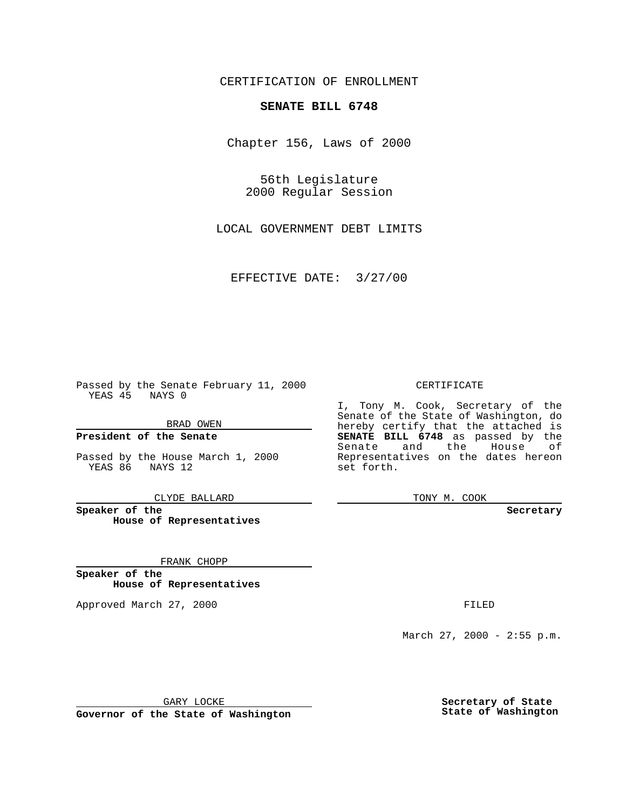CERTIFICATION OF ENROLLMENT

## **SENATE BILL 6748**

Chapter 156, Laws of 2000

56th Legislature 2000 Regular Session

LOCAL GOVERNMENT DEBT LIMITS

EFFECTIVE DATE: 3/27/00

Passed by the Senate February 11, 2000 YEAS 45 NAYS 0

BRAD OWEN

**President of the Senate**

Passed by the House March 1, 2000 YEAS 86 NAYS 12

CLYDE BALLARD

**Speaker of the House of Representatives**

FRANK CHOPP

**Speaker of the House of Representatives**

Approved March 27, 2000 FILED

## CERTIFICATE

I, Tony M. Cook, Secretary of the Senate of the State of Washington, do hereby certify that the attached is **SENATE BILL 6748** as passed by the Senate and the House of Representatives on the dates hereon set forth.

TONY M. COOK

## **Secretary**

March 27, 2000 - 2:55 p.m.

GARY LOCKE

**Governor of the State of Washington**

**Secretary of State State of Washington**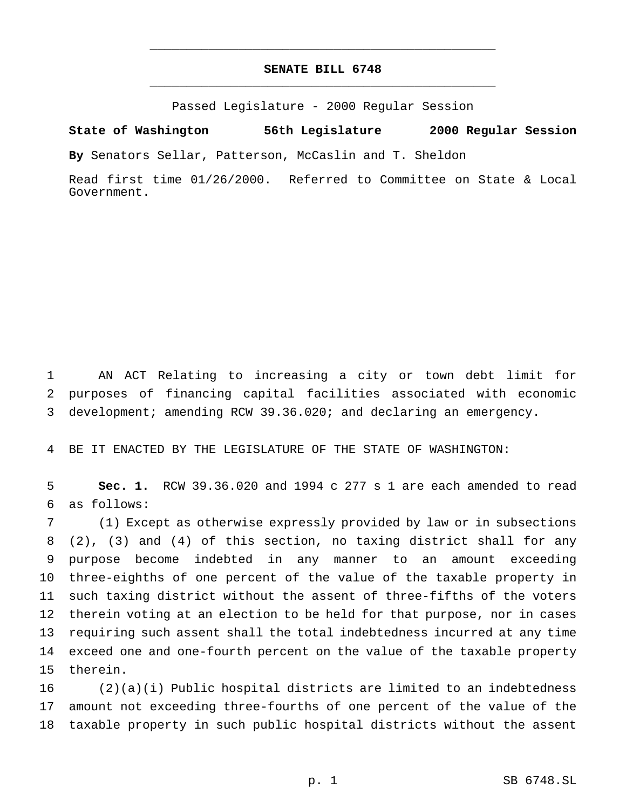## **SENATE BILL 6748** \_\_\_\_\_\_\_\_\_\_\_\_\_\_\_\_\_\_\_\_\_\_\_\_\_\_\_\_\_\_\_\_\_\_\_\_\_\_\_\_\_\_\_\_\_\_\_

\_\_\_\_\_\_\_\_\_\_\_\_\_\_\_\_\_\_\_\_\_\_\_\_\_\_\_\_\_\_\_\_\_\_\_\_\_\_\_\_\_\_\_\_\_\_\_

Passed Legislature - 2000 Regular Session

**State of Washington 56th Legislature 2000 Regular Session**

**By** Senators Sellar, Patterson, McCaslin and T. Sheldon

Read first time 01/26/2000. Referred to Committee on State & Local Government.

 AN ACT Relating to increasing a city or town debt limit for purposes of financing capital facilities associated with economic development; amending RCW 39.36.020; and declaring an emergency.

BE IT ENACTED BY THE LEGISLATURE OF THE STATE OF WASHINGTON:

 **Sec. 1.** RCW 39.36.020 and 1994 c 277 s 1 are each amended to read as follows:

 (1) Except as otherwise expressly provided by law or in subsections (2), (3) and (4) of this section, no taxing district shall for any purpose become indebted in any manner to an amount exceeding three-eighths of one percent of the value of the taxable property in such taxing district without the assent of three-fifths of the voters therein voting at an election to be held for that purpose, nor in cases requiring such assent shall the total indebtedness incurred at any time exceed one and one-fourth percent on the value of the taxable property therein.

 (2)(a)(i) Public hospital districts are limited to an indebtedness amount not exceeding three-fourths of one percent of the value of the taxable property in such public hospital districts without the assent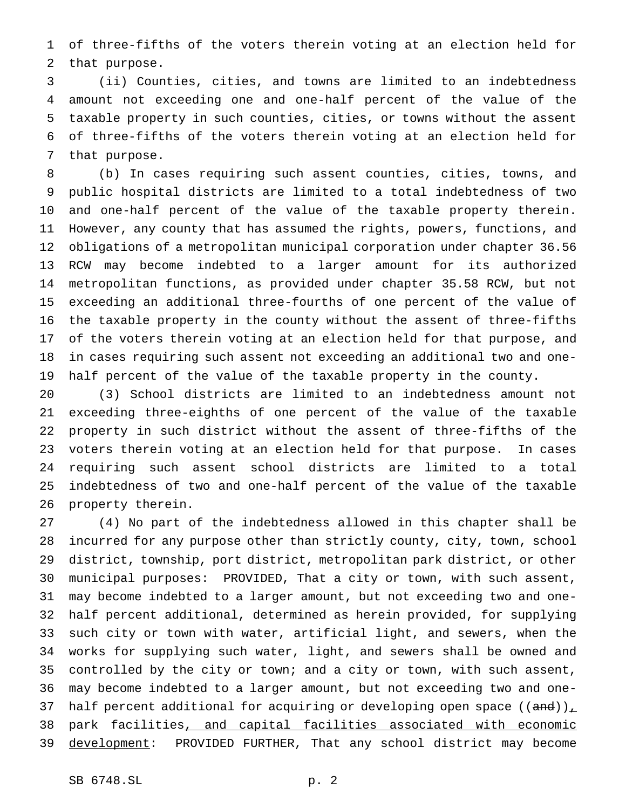of three-fifths of the voters therein voting at an election held for that purpose.

 (ii) Counties, cities, and towns are limited to an indebtedness amount not exceeding one and one-half percent of the value of the taxable property in such counties, cities, or towns without the assent of three-fifths of the voters therein voting at an election held for that purpose.

 (b) In cases requiring such assent counties, cities, towns, and public hospital districts are limited to a total indebtedness of two and one-half percent of the value of the taxable property therein. However, any county that has assumed the rights, powers, functions, and obligations of a metropolitan municipal corporation under chapter 36.56 RCW may become indebted to a larger amount for its authorized metropolitan functions, as provided under chapter 35.58 RCW, but not exceeding an additional three-fourths of one percent of the value of the taxable property in the county without the assent of three-fifths of the voters therein voting at an election held for that purpose, and in cases requiring such assent not exceeding an additional two and one-half percent of the value of the taxable property in the county.

 (3) School districts are limited to an indebtedness amount not exceeding three-eighths of one percent of the value of the taxable property in such district without the assent of three-fifths of the voters therein voting at an election held for that purpose. In cases requiring such assent school districts are limited to a total indebtedness of two and one-half percent of the value of the taxable property therein.

 (4) No part of the indebtedness allowed in this chapter shall be incurred for any purpose other than strictly county, city, town, school district, township, port district, metropolitan park district, or other municipal purposes: PROVIDED, That a city or town, with such assent, may become indebted to a larger amount, but not exceeding two and one- half percent additional, determined as herein provided, for supplying such city or town with water, artificial light, and sewers, when the works for supplying such water, light, and sewers shall be owned and controlled by the city or town; and a city or town, with such assent, may become indebted to a larger amount, but not exceeding two and one-37 half percent additional for acquiring or developing open space  $((and))_{\perp}$  park facilities, and capital facilities associated with economic 39 development: PROVIDED FURTHER, That any school district may become